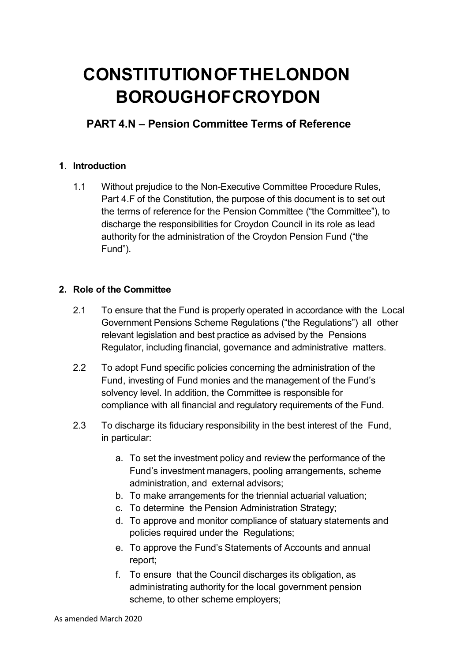# CONSTITUTION OF THE LONDON **BOROUGH OF CROYDON**

# PART 4.N – Pension Committee Terms of Reference

# 1. Introduction

1.1 Without prejudice to the Non-Executive Committee Procedure Rules, Part 4.F of the Constitution, the purpose of this document is to set out the terms of reference for the Pension Committee ("the Committee"), to discharge the responsibilities for Croydon Council in its role as lead authority for the administration of the Croydon Pension Fund ("the Fund").

# 2. Role of the Committee

- 2.1 To ensure that the Fund is properly operated in accordance with the Local Government Pensions Scheme Regulations ("the Regulations") all other relevant legislation and best practice as advised by the Pensions Regulator, including financial, governance and administrative matters.
- 2.2 To adopt Fund specific policies concerning the administration of the Fund, investing of Fund monies and the management of the Fund's solvency level. In addition, the Committee is responsible for compliance with all financial and regulatory requirements of the Fund.
- 2.3 To discharge its fiduciary responsibility in the best interest of the Fund, in particular:
	- a. To set the investment policy and review the performance of the Fund's investment managers, pooling arrangements, scheme administration, and external advisors;
	- b. To make arrangements for the triennial actuarial valuation;
	- c. To determine the Pension Administration Strategy;
	- d. To approve and monitor compliance of statuary statements and policies required under the Regulations;
	- e. To approve the Fund's Statements of Accounts and annual report;
	- f. To ensure that the Council discharges its obligation, as administrating authority for the local government pension scheme, to other scheme employers;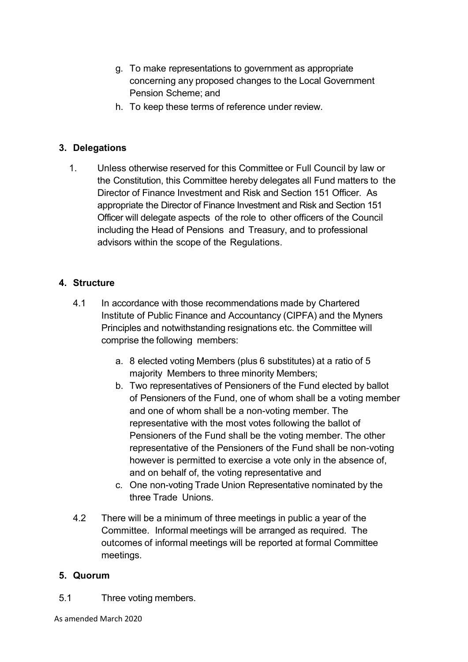- g. To make representations to government as appropriate concerning any proposed changes to the Local Government Pension Scheme; and
- h. To keep these terms of reference under review.

# 3. Delegations

1. Unless otherwise reserved for this Committee or Full Council by law or the Constitution, this Committee hereby delegates all Fund matters to the Director of Finance Investment and Risk and Section 151 Officer. As appropriate the Director of Finance Investment and Risk and Section 151 Officer will delegate aspects of the role to other officers of the Council including the Head of Pensions and Treasury, and to professional advisors within the scope of the Regulations.

# 4. Structure

- 4.1 In accordance with those recommendations made by Chartered Institute of Public Finance and Accountancy (CIPFA) and the Myners Principles and notwithstanding resignations etc. the Committee will comprise the following members:
	- a. 8 elected voting Members (plus 6 substitutes) at a ratio of 5 majority Members to three minority Members;
	- b. Two representatives of Pensioners of the Fund elected by ballot of Pensioners of the Fund, one of whom shall be a voting member and one of whom shall be a non-voting member. The representative with the most votes following the ballot of Pensioners of the Fund shall be the voting member. The other representative of the Pensioners of the Fund shall be non-voting however is permitted to exercise a vote only in the absence of, and on behalf of, the voting representative and
	- c. One non-voting Trade Union Representative nominated by the three Trade Unions.
- 4.2 There will be a minimum of three meetings in public a year of the Committee. Informal meetings will be arranged as required. The outcomes of informal meetings will be reported at formal Committee meetings.

#### 5. Quorum

5.1 Three voting members.